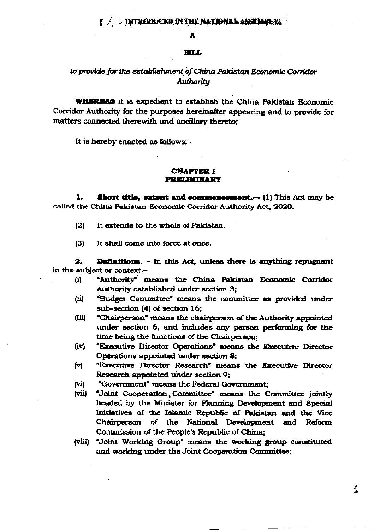#### **BILL**

### to provide for the establishment of China Pakistan Economic Corridor Authority

WHEREAS it is expedient to establish the China Pakistan Economic Corridor Authority for the purposes hereinafter appearing and to provide for matters connected therewith and ancillary thereto:

It is hereby enacted as follows: -

#### **CHAPTER I PRELIMINARY**

1. **Short title, extent and commencement.**  $-$  (1) This Act may be called the China Pakistan Economic Corridor Authority Act, 2020.

- It extends to the whole of Pakistan.  $(2)$
- It shall come into force at once.  $(3)$

Definitions.- In this Act, unless there is anything repugnant  $2.$ in the subject or context.-

- \*Authority" means the China Pakistan Economic Corridor  $(i)$ Authority established under section 3;
- "Budget Committee" means the committee as provided under (ii) sub-section (4) of section 16;
- "Chairperson" means the chairperson of the Authority appointed (iii) under section 6, and includes any person performing for the time being the functions of the Chairperson;
- (iv) "Executive Director Operations" means the Executive Director Operations appointed under section 8:
- $(v)$ "Executive Director Research" means the Executive Director Research appointed under section 9:
- $(v_1)$ "Government" means the Federal Government:
- $(vii)$ "Joint Cooperation Committee" means the Committee jointly headed by the Minister for Planning Development and Special Initiatives of the Islamic Republic of Pakistan and the Vice Chairperson of the National Development and Reform Commission of the People's Republic of China;
- (viii) "Joint Working Group" means the working group constituted and working under the Joint Cooperation Committee;

 $\mathcal{L}$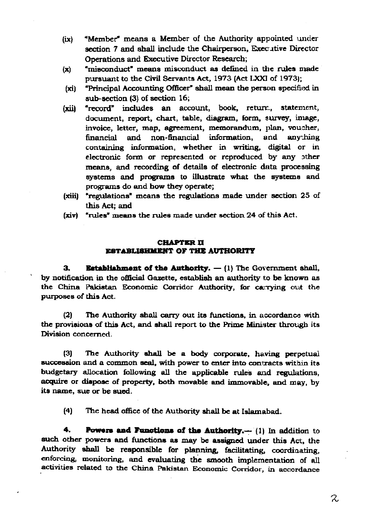- "Member" means a Member of the Authority appointed under  $\left( \mathbf{ix}\right)$ section 7 and shall include the Chairperson, Executive Director Operations and Executive Director Research;
- "misconduct" means misconduct as defined in the rules made  $(x)$ pursuant to the Civil Servants Act, 1973 (Act LXXI of 1973);
- "Principal Accounting Officer" shall mean the person specified in  $(xi)$ sub-section (3) of section 16;
- "record" includes an account, book, return., statement, (xii) document, report, chart, table, diagram, form, survey, image, invoice, letter, map, agreement, memorandum, plan, voucher, and non-financial information, and anything financial containing information, whether in writing, digital or in electronic form or represented or reproduced by any other means, and recording of details of electronic data processing systems and programs to illustrate what the systems and programs do and how they operate;
- "regulations" means the regulations made under section 25 of (xiii) this Act: and
- (xiv) "rules" means the rules made under section 24 of this Act.

#### **CHAPTER II** ESTABLISHMENT OF THE AUTHORITY

**Establishment of the Authority.**  $-$  (1) The Government shall, З. by notification in the official Gazette, establish an authority to be known as the China Pakistan Economic Corridor Authority, for carrying out the purposes of this Act.

The Authority shall carry out its functions, in accordance with  $(2)$ the provisions of this Act, and shall report to the Prime Minister through its Division concerned.

 $(3)$ The Authority shall be a body corporate, having perpetual succession and a common seal, with power to enter into contracts within its budgetary allocation following all the applicable rules and regulations, acquire or dispose of property, both movable and immovable, and may, by its name, sue or be sued.

 $(4)$ The head office of the Authority shall be at Islamabad.

Powers and Functions of the Authority.-- (1) In addition to 4. such other powers and functions as may be assigned under this Act, the Authority shall be responsible for planning, facilitating, coordinating, enforcing, monitoring, and evaluating the smooth implementation of all activities related to the China Pakistan Economic Corridor, in accordance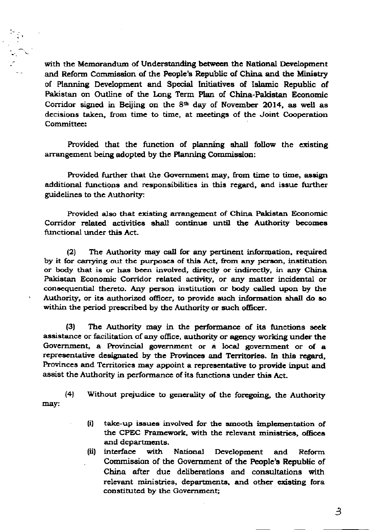with the Memorandum of Understanding between the National Development and Reform Commission of the People's Republic of China and the Ministry of Planning Development and Special Initiatives of Islamic Republic of Pakistan on Outline of the Long Term Plan of China-Pakistan Economic Corridor signed in Beiling on the 8<sup>th</sup> day of November 2014, as well as decisions taken, from time to time, at meetings of the Joint Cooperation Committee:

Provided that the function of planning shall follow the existing arrangement being adopted by the Planning Commission:

Provided further that the Government may, from time to time, assign additional functions and responsibilities in this regard, and issue further guidelines to the Authority:

Provided also that existing arrangement of China Pakistan Economic Corridor related activities shall continue until the Authority becomes functional under this Act.

The Authority may call for any pertinent information, required  $(2)$ by it for carrying out the purposes of this Act, from any person, institution or body that is or has been involved, directly or indirectly, in any China Pakistan Economic Corridor related activity, or any matter incidental or consequential thereto. Any person institution or body called upon by the Authority, or its authorized officer, to provide such information shall do so within the period prescribed by the Authority or such officer.

 $(3)$ The Authority may in the performance of its functions seek assistance or facilitation of any office, authority or agency working under the Government, a Provincial government or a local government or of a representative designated by the Provinces and Territories. In this regard, Provinces and Territories may appoint a representative to provide input and assist the Authority in performance of its functions under this Act.

 $(4)$ Without prejudice to generality of the foregoing, the Authority may:

- $(i)$ take-up issues involved for the smooth implementation of the CPEC Framework, with the relevant ministries, offices and departments.
- (ii) interface with National Development and Reform Commission of the Government of the People's Republic of China after due deliberations and consultations with relevant ministries, departments, and other existing fora constituted by the Government;

3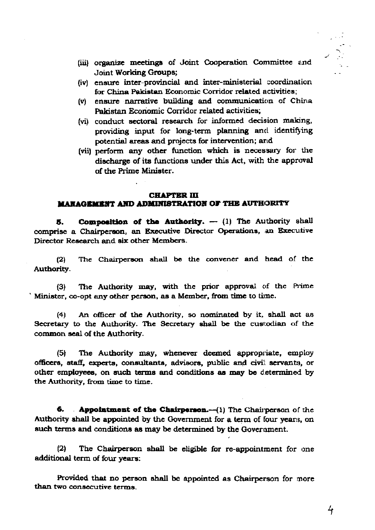- (iii) organize meetings of Joint Cooperation Committee and **Joint Working Groups;**
- (iv) ensure inter-provincial and inter-ministerial coordination for China Pakistan Economic Corridor related activities;
- (v) ensure narrative building and communication of China Pakistan Economic Corridor related activities;
- (vi) conduct sectoral research for informed decision making, providing input for long-term planning and identifying potential areas and projects for intervention; and
- (vii) perform any other function which is necessary for the discharge of its functions under this Act, with the approval of the Prime Minister.

#### **CHAPTER III**

#### **MARAGEMENT AND ADMINISTRATION OF THE AUTHORITY**

5. Composition of the Authority.  $-$  (1) The Authority shall comprise a Chairperson, an Executive Director Operations, an Executive Director Research and six other Members.

The Chairperson shall be the convener and head of the  $(2)$ **Authority.** 

The Authority may, with the prior approval of the Prime  $(3)$ Minister, co-opt any other person, as a Member, from time to time.

An officer of the Authority, so nominated by it, shall act as  $(4)$ Secretary to the Authority. The Secretary shall be the custodian of the common seal of the Authority.

The Authority may, whenever deemed appropriate, employ (5) officers, staff, experts, consultants, advisors, public and civil servants, or other employees, on such terms and conditions as may be determined by the Authority, from time to time.

**Appointment of the Chairperson.** $-(1)$  The Chairperson of the 6. Authority shall be appointed by the Government for a term of four years, on such terms and conditions as may be determined by the Government.

 $(2)$ The Chairperson shall be eligible for re-appointment for one additional term of four years:

Provided that no person shall be appointed as Chairperson for more than two consecutive terms.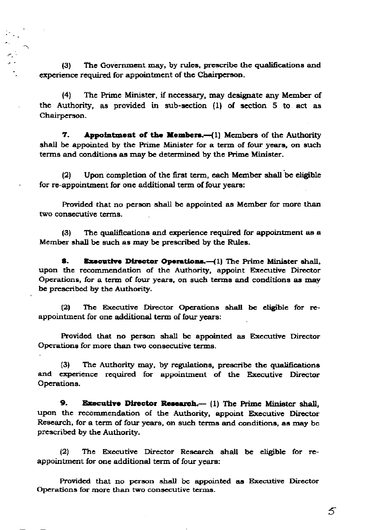The Government may, by rules, prescribe the qualifications and  $(3)$ experience required for appointment of the Chairperson.

The Prime Minister, if necessary, may designate any Member of  $(4)$ the Authority, as provided in sub-section (1) of section 5 to act as Chairperson.

7. Appointment of the Members.-(1) Members of the Authority shall be appointed by the Prime Minister for a term of four years, on such terms and conditions as may be determined by the Prime Minister.

Upon completion of the first term, each Member shall be eligible  $(2)$ for re-appointment for one additional term of four years:

Provided that no person shall be appointed as Member for more than two consecutive terms.

The qualifications and experience required for appointment as a  $(3)$ Member shall be such as may be prescribed by the Rules.

8. **Executive Director Operations.** (1) The Prime Minister shall, upon the recommendation of the Authority, appoint Executive Director Operations, for a term of four years, on such terms and conditions as may be prescribed by the Authority.

The Executive Director Operations shall be eligible for re- $(2)$ appointment for one additional term of four years:

Provided that no person shall be appointed as Executive Director Operations for more than two consecutive terms.

The Authority may, by regulations, prescribe the qualifications  $(3)$ and experience required for appointment of the Executive Director Operations.

9. Executive Director Research.-- (1) The Prime Minister shall, upon the recommendation of the Authority, appoint Executive Director Research, for a term of four years, on such terms and conditions, as may be prescribed by the Authority.

The Executive Director Research shall be eligible for re- $(2)$ appointment for one additional term of four years:

Provided that no person shall be appointed as Executive Director Operations for more than two consecutive terms.

5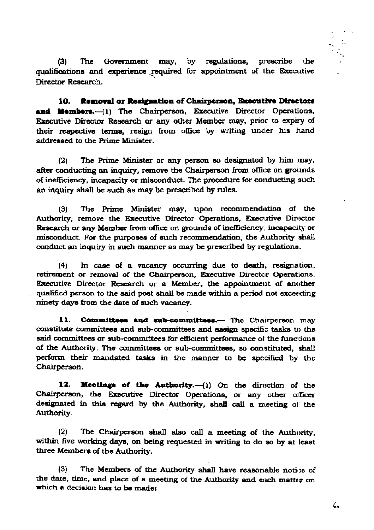The Government may, by regulations, prescribe the  $(3)$ qualifications and experience required for appointment of the Executive Director Research.

Removal or Resignation of Chairperson, Executive Directors 10. and Members.-- (1) The Chairperson, Executive Director Operations, Executive Director Research or any other Member may, prior to expiry of their respective terms, resign from office by writing under his hand addressed to the Prime Minister.

 $(2)$ The Prime Minister or any person so designated by him may, after conducting an inquiry, remove the Chairperson from office on grounds of inefficiency, incapacity or misconduct. The procedure for conducting such an inquiry shall be such as may be prescribed by rules.

The Prime Minister may, upon recommendation of the  $(3)$ Authority, remove the Executive Director Operations, Executive Director Research or any Member from office on grounds of inefficiency, incapacity or misconduct. For the purposes of such recommendation, the Authority shall conduct an inquiry in such manner as may be prescribed by regulations.

In case of a vacancy occurring due to death, resignation,  $(4)$ retirement or removal of the Chairperson, Executive Director Operations. Executive Director Research or a Member, the appointment of another qualified person to the said post shall be made within a period not exceeding ninety days from the date of such vacancy.

Committees and sub-committees.- The Chairperson may 11. constitute committees and sub-committees and assign specific tasks to the said committees or sub-committees for efficient performance of the functions of the Authority. The committees or sub-committees, so constituted, shall perform their mandated tasks in the manner to be specified by the Chairperson.

12. Meetings of the Authority.-- (1) On the direction of the Chairperson, the Executive Director Operations, or any other officer designated in this regard by the Authority, shall call a meeting of the Authority.

 $(2)$ The Chairperson shall also call a meeting of the Authority, within five working days, on being requested in writing to do so by at least three Members of the Authority.

 $(3)$ The Members of the Authority shall have reasonable notice of the date, time, and place of a meeting of the Authority and each matter on which a decision has to be made: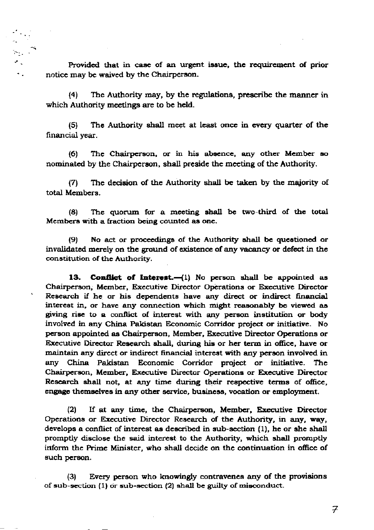Provided that in case of an urgent issue, the requirement of prior notice may be waived by the Chairperson.

The Authority may, by the regulations, prescribe the manner in  $(4)$ which Authority meetings are to be held.

The Authority shall meet at least once in every quarter of the  $(5)$ financial year.

 $(6)$ The Chairperson, or in his absence, any other Member so nominated by the Chairperson, shall preside the meeting of the Authority.

The decision of the Authority shall be taken by the majority of  $(7)$ total Members.

The quorum for a meeting shall be two-third of the total  $(8)$ Members with a fraction being counted as one.

No act or proceedings of the Authority shall be questioned or  $(9)$ invalidated merely on the ground of existence of any vacancy or defect in the constitution of the Authority.

**Conflict of Interest.** (1) No person shall be appointed as 13. Chairperson, Member, Executive Director Operations or Executive Director Research if he or his dependents have any direct or indirect financial interest in, or have any connection which might reasonably be viewed as giving rise to a conflict of interest with any person institution or body involved in any China Pakistan Economic Corridor project or initiative. No person appointed as Chairperson, Member, Executive Director Operations or Executive Director Research shall, during his or her term in office, have or maintain any direct or indirect financial interest with any person involved in any China Pakistan Economic Corridor project or initiative. **The** Chairperson, Member, Executive Director Operations or Executive Director Research shall not, at any time during their respective terms of office, engage themselves in any other service, business, vocation or employment.

If at any time, the Chairperson, Member, Executive Director  $(2)$ Operations or Executive Director Research of the Authority, in any, way, develops a conflict of interest as described in sub-section (1), he or she shall promptly disclose the said interest to the Authority, which shall promptly inform the Prime Minister, who shall decide on the continuation in office of such person.

Every person who knowingly contravenes any of the provisions  $(3)$ of sub-section (1) or sub-section (2) shall be guilty of misconduct.

7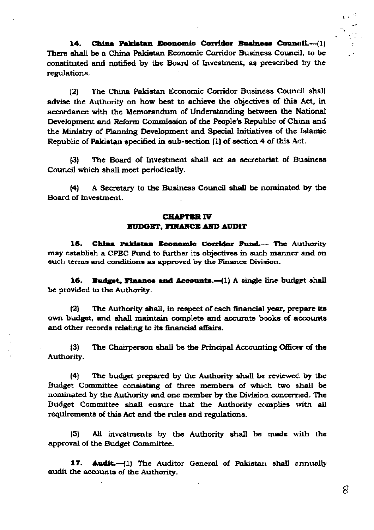China Pakistan Economic Corridor Business Council.--- (1) 14. There shall be a China Pakistan Economic Corridor Business Council, to be constituted and notified by the Board of Investment, as prescribed by the regulations.

The China Pakistan Economic Corridor Business Council shall  $(2)$ advise the Authority on how best to achieve the objectives of this Act, in accordance with the Memorandum of Understanding between the National Development and Reform Commission of the People's Republic of China and the Ministry of Planning Development and Special Initiatives of the Islamic Republic of Pakistan specified in sub-section (1) of section 4 of this Act.

The Board of Investment shall act as secretariat of Business  $(3)$ Council which shall meet periodically.

A Secretary to the Business Council shall be nominated by the  $(4)$ Board of Investment.

#### **CHAPTER IV** BUDGET, FINANCE AND AUDIT

China Pakistan Economic Corridor Fund.-- The Authority 15. may establish a CPEC Fund to further its objectives in such manner and on such terms and conditions as approved by the Finance Division.

Budget, Finance and Accounts.-(1) A single line budget shall 16. be provided to the Authority.

The Authority shall, in respect of each financial year, prepare its  $(2)$ own budget, and shall maintain complete and accurate books of accounts and other records relating to its financial affairs.

The Chairperson shall be the Principal Accounting Officer of the  $(3)$ **Authority.** 

The budget prepared by the Authority shall be reviewed by the  $(4)$ Budget Committee consisting of three members of which two shall be nominated by the Authority and one member by the Division concerned. The Budget Committee shall ensure that the Authority complies with all requirements of this Act and the rules and regulations.

All investments by the Authority shall be made with the  $(5)$ approval of the Budget Committee.

Audit.-- (1) The Auditor General of Pakistan shall snnually 17. audit the accounts of the Authority.

 $\epsilon$  ,  $\epsilon$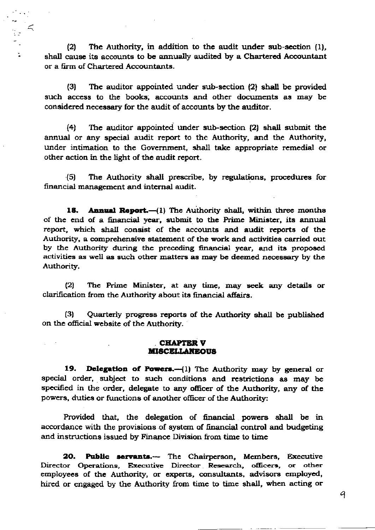$(2)$ The Authority, in addition to the audit under sub-section (1), shall cause its accounts to be annually audited by a Chartered Accountant or a firm of Chartered Accountants.

 $\leq$ 

 $\mathbb{R}^2$ 

The auditor appointed under sub-section (2) shall be provided (3) such access to the books, accounts and other documents as may be considered necessary for the audit of accounts by the auditor.

 $(4)$ The auditor appointed under sub-section (2) shall submit the annual or any special audit report to the Authority, and the Authority, under intimation to the Government, shall take appropriate remedial or other action in the light of the audit report.

(5) The Authority shall prescribe, by regulations, procedures for financial management and internal audit.

18. Annual Report.-(1) The Authority shall, within three months of the end of a financial year, submit to the Prime Minister, its annual report, which shall consist of the accounts and audit reports of the Authority, a comprehensive statement of the work and activities carried out by the Authority during the preceding financial year, and its proposed activities as well as such other matters as may be deemed necessary by the Authority.

The Prime Minister, at any time, may seek any details or  $(2)$ clarification from the Authority about its financial affairs.

 $(3)$ Quarterly progress reports of the Authority shall be published on the official website of the Authority.

#### . CHAPTER V **MISCELLANEOUS**

19. **Delegation of Powers.** $-(1)$  The Authority may by general or special order, subject to such conditions and restrictions as may be specified in the order, delegate to any officer of the Authority, any of the powers, duties or functions of another officer of the Authority:

Provided that, the delegation of financial powers shall be in accordance with the provisions of system of financial control and budgeting and instructions issued by Finance Division from time to time

Public servants.-- The Chairperson, Members, Executive 20. Director Operations, Executive Director Research, officers, or other employees of the Authority, or experts, consultants, advisors employed, hired or engaged by the Authority from time to time shall, when acting or

9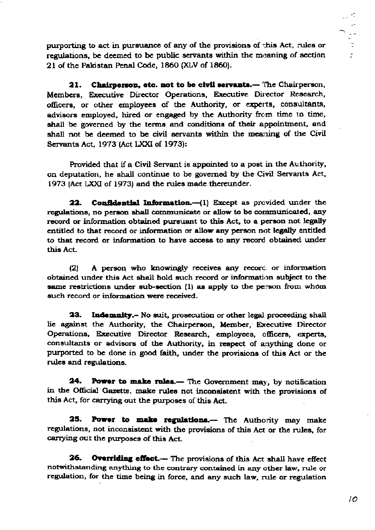purporting to act in pursuance of any of the provisions of this Act, rules or regulations, be deemed to be public servants within the meaning of section 21 of the Pakistan Penal Code, 1860 (XLV of 1860).

Chairperson, etc. not to be civil servants.-- The Chairperson, 21. Members, Executive Director Operations, Executive Director Research, officers, or other employees of the Authority, or experts, consultants, advisors employed, hired or engaged by the Authority from time to time, shall be governed by the terms and conditions of their appointment, and shall not be deemed to be civil servants within the meaning of the Civil Servants Act, 1973 (Act LXXI of 1973):

Provided that if a Civil Servant is appointed to a post in the Authority, on deputation, he shall continue to be governed by the Civil Servants Act, 1973 (Act LXXI of 1973) and the rules made thereunder.

22. **Confidential Information.**  $-(1)$  Except as provided under the regulations, no person shall communicate or allow to be communicated, any record or information obtained pursuant to this Act, to a person not legally entitled to that record or information or allow any person not legally entitled to that record or information to have access to any record obtained under this Act.

 $(2)$ A person who knowingly receives any record or information obtained under this Act shall hold such record or information subject to the same restrictions under sub-section (1) as apply to the person from whom such record or information were received.

23. Indemnity.- No suit, prosecution or other legal proceeding shall lie against the Authority, the Chairperson, Member, Executive Director Operations, Executive Director Research, employees, officers, experts, consultants or advisors of the Authority, in respect of anything done or purported to be done in good faith, under the provisions of this Act or the rules and regulations.

24. **Power to make rules.**— The Government may, by notification in the Official Gazette, make rules not inconsistent with the provisions of this Act, for carrying out the purposes of this Act.

Power to make regulations.-- The Authority may make 25. regulations, not inconsistent with the provisions of this Act or the rules, for carrying out the purposes of this Act.

26. Overriding effect.- The provisions of this Act shall have effect notwithstanding anything to the contrary contained in any other law, rule or regulation, for the time being in force, and any such law, rule or regulation  $\ddot{\cdot}$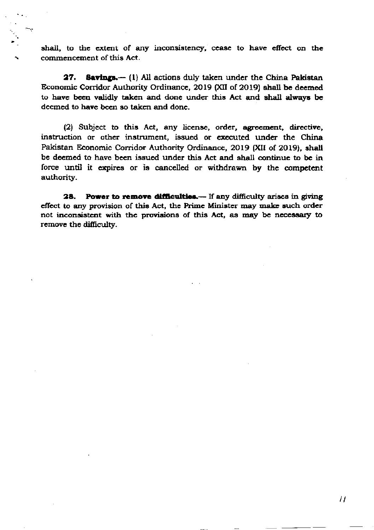shall, to the extent of any inconsistency, cease to have effect on the commencement of this Act.

Savings.  $-$  (1) All actions duly taken under the China Pakistan 27. Economic Corridor Authority Ordinance, 2019 (XII of 2019) shall be deemed to have been validly taken and done under this Act and shall always be deemed to have been so taken and done.

(2) Subject to this Act, any license, order, agreement, directive, instruction or other instrument, issued or executed under the China Pakistan Economic Corridor Authority Ordinance, 2019 (XII of 2019), shall be deemed to have been issued under this Act and shall continue to be in force until it expires or is cancelled or withdrawn by the competent authority.

Power to remove difficulties.- If any difficulty arises in giving 28. effect to any provision of this Act, the Prime Minister may make such order not inconsistent with the provisions of this Act, as may be necessary to remove the difficulty.

 $\overline{11}$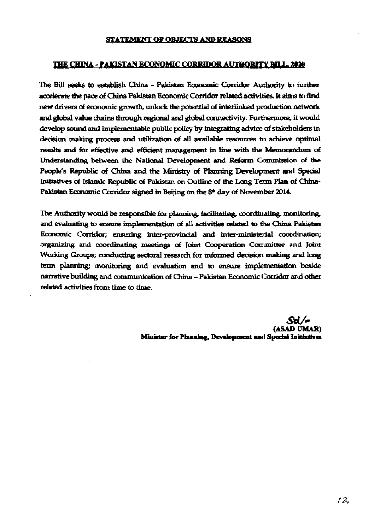#### STATEMENT OF OBJECTS AND REASONS

#### **THE CHINA - PAKISTAN ECONOMIC CORRIDOR AUTHORITY BILL, 2020**

The Bill seeks to establish China - Pakistan Economic Corridor Authority to further accelerate the pace of China Pakistan Economic Corridor related activities. It aims to find new drivers of economic growth, unlock the potential of interlinked production network. and global value chains through regional and global connectivity. Furthermore, it would develop sound and implementable public policy by integrating advice of stakeholders in decision making process and utilization of all available resources to achieve optimal results and for effective and efficient management in line with the Memorandum of Understanding between the National Development and Reform Commission of the People's Republic of China and the Ministry of Planning Development and Special Initiatives of Islamic Republic of Pakistan on Outline of the Long Term Plan of China-Pakistan Economic Corridor signed in Beijing on the 8<sup>th</sup> day of November 2014.

The Authority would be responsible for planning, facilitating, coordinating, monitoring, and evaluating to ensure implementation of all activities related to the China Pakistan Economic Corridor; ensuring inter-provincial and inter-ministerial coordination; organizing and coordinating meetings of Joint Cooperation Committee and Joint Working Groups; conducting sectoral research for informed decision making and long term planning; monitoring and evaluation and to ensure implementation beside narrative building and communication of China - Pakistan Economic Corridor and other related activities from time to time.

> Sd /-(ASAD UMAR) Minister for Planning, Development and Special Initiatives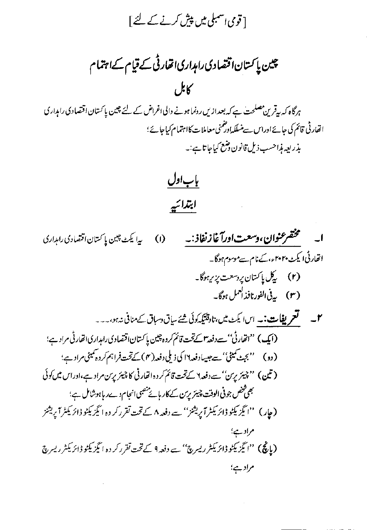### [ قومی <sub>ا</sub>سمبلی میں پی*ش کرنے کے* لئے ]

چین پاکستان اقتصادی را ہداری انقار ٹی کے قیام کے اجتمام كابل

ہرگاہ کہ بیرقرین مصلحت ہے کہ بعدازیں رونما ہونے والی اغراض کے لئے چین پاکستان اقتصادی راہداری اتھارٹی قائم کی جائےادراس سے منسلکہاوشمنی معاملات کااہتمام کیاجائے؛ بذريعه مذاحسب ذيل قانون وشع كياجا تا ہے:۔

بأبادل ابتدائيه

مختصرعنوان،وسعت اورآغاز نفاذ :۔ (I) \_\_\_\_ سِدا يكث چين يا كستان اقتصادي رامې*زاد*ي اتھارٹی ایکٹ ۲۰۲۰ء،کےنام سےموسوم ہوگا۔ (۲) گچل پاکستان پروسعت پزیر بوگا۔ (۳) بي<sup>ق الفورنافذ العمل ہوگا۔</sup> **۲۔ سمبریفات:۔ ا**سا یکٹ میں،تاوقتیکہوئی شئے ساق دسباق کے منافی نہ ہو،۔۔۔ (ایک) ''اتھارٹی''سے دفعہ ۳سےتحت قائم کردہ چین پاکستان اقتصادی راہداری اتھارٹی مراد ہے؛ (وو) منجن میٹی'' سے جیسادفعہ ۱۲ کی ذیلی دفعہ(۴) کے تحت فراہم کر دہ کمیٹی مراد ہے؛ (تین) ''چیئریرس'' <sub>سے</sub> دفعہ ۱ کےتحت قائم کردہ اتھارٹی کا چیئر برس مراد ہے،اوراس میں کوئی

بھی فخص جو فی الوقت چیئریرین کے کار ہائے منصبی انجام دےر ہاہوشامل ہے؛ (چار) ''ایگزیکٹو ڈائریکٹرآ پریشنز'' سے دفعہ ۸ کے تحت تقرر کر دہ ایگزیکٹو ڈائریکٹر آ پریشنز

مرادی؛ (پانچ) "ایگزیکٹو ڈائریکٹر ریسرچ" سے دفعہ9 کےتحت تقرر کر دہ ایگزیکٹو ڈائریکٹر ریسرچ مراد ہے؛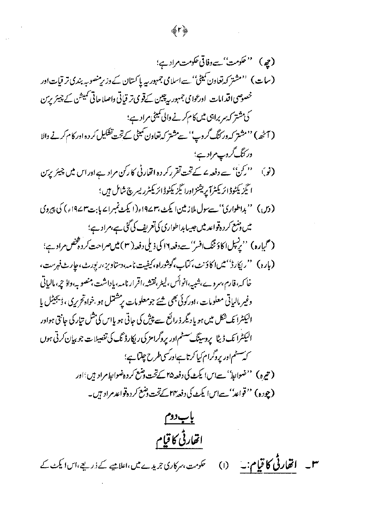### é۲ቅ

(چە) "حكومت"سےوفاتى حكومت مرادے؛ (سات) ''مشتر کہ تعاون کمیٹی'' سے اسلامی جمہور <sub>س</sub>ے پاکستان کے وزیر منصوبہ بندی تر قیات اور خصوصی اقدامات اورعوامی جمہور رچین کےقومی تر قباتی واصلا حاتی کمیشن کے چیئر برس کی مشتر کہ سر براہی میں کام کرنے والی تمیٹی مراد ہے؛ (آٹھ)''مشتر کہ درکنگ گروپ'' سے مشتر کہ تعاون کمیٹی کے تحت تشکیل کر دہ اور کام کرنے والا ور کنگ گروپ مراد ہے؛ (نو) سیست کرنے'' سے دفعہ <sup>ے</sup> کےتحت تقرر کر دہ اتھارٹی کا رکن مراد ہے اور اس میں چیئر پرین ا ئېزىكنوۋائرىكىترا رېشىزاورا ئېزىكنوۋائرىكىتررىسرچ شامل ہى؛ (دیں) ''بداطواری'' سےسول ملازمین ایکٹ بہم19ء(ایکٹ نمبراے بابت ۱۳سے ۱۹ء) کی پیروی میں دستے کر د ہ قواعد میں جیسا بداطواری کی تعریف کی گئی ہے،مراد ہے؛ ( گیارہ) ''پیپلاا کاؤنٹک افسر' سےدفعہ ۱۲ کی ذیلی دفعہ( ۳ )میں صراحت کرد، څنیں مرادے؛ (باره) "ریکارڈ''میں اکاؤنٹ، کیاب،گوشوراہ،کیفیت نامہ،دستاویز،ریورٹ،چارٹ فہرست، خا کہ، فارم ،سروے،شبیہ،انوائس،لیٹر،نقشہ،اقرار نامہ،پاداشت،منصوبۂ داڈ حمہ، مالیاتی وغیر مالیاتی معلومات ،ادرکوئی بھی شئے جومعلومات پرمشتمل ہو ،خواہ تح بری ، ڈیجیٹل یا ائیکٹرا تک شکل میں ہو یا دیگر ذ رائع سے پیش کی جاتی ہو یااس کی شل تیار کی جانتی ہواور الیکٹرانک ڈیٹا پروسینگ سسٹم اور پروگرامز کی ریکارڈ نگ کی تفصیلات جو بیان کرتی ہوں کہ سسٹم اور پروگرام کیا کرتا ہےاور کسی طرح چلتا ہے؛ ( تیرہ ) ''ضوابط' ہےاسا کیے کی دفعہ ۲۵ کےتحت دشع کر دہضوابط مرادی<sup>ں ؛</sup>اور (چودہ) ''قواعد''سےاسا کیے کی دفعہ ہی کے تحت دہنم کر دہ قواعد مراد ہیں۔ إب دوم انقارٹی کا قیام

سل القارقی کا قیام:۔ (۱) حکومت، سرکاری جریدے میں،اعلامیے کے ذریع،اس ایکٹ کے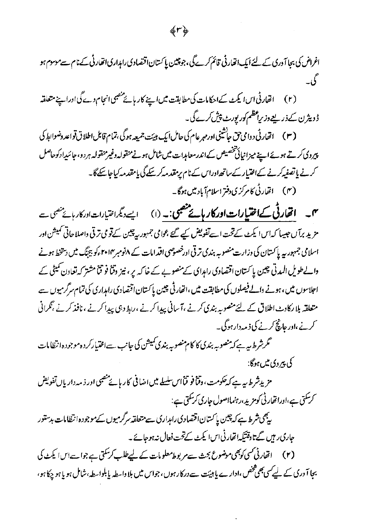(۲) انھار ٹی اسا کیٹ کےاحکامات کی مطابقت میں اپنے کار ہائے منصبی انجام دے گی اوراپنے متعلقہ <u>ڈویٹرن کے ذریعے وزیراعظم کورپورٹ پپش کرے گی۔</u>

(۳) اتھارٹی دوامی حق جانشینی اورمہر عام کی حامل ایک ہیئت جمیعہ ہوگی ،تمام قابل اطلاق قواعد دضوابط کی پیروی کرتے ہوئےاپنے میزانپائی شخصیص کےاندرمعامدات میں شامل ہونے منقولہ وغیرمنقولہ ہردو، جائیدادکوحاصل کرنے یا تصفیہ کرنے کےافتیار کےساتھ اوراس کے نام پرمقد مہکر سکے گی یامقد مہ کیاجاسکے گا۔ (۴) انھارٹی کامرکزی دفتر اسلام آباد میں ہوگا۔

میں **اتھارٹی کے اختیارات اور کار ہائے منصبی:۔** (۱) ایسے دیگراختیارات اورکار ہائے منصبی سے مزید برآں جیپیا کہ اس ایکٹ کےتخت اسےتفویض کیے گئے بحوامی جمہور رچین کےقومی ترتی واصلاحاتی نمیشن اور اسلامی جمہور یہ پاکستان کی وزارت منصوبہ بندی ترقی اورخصوصی اقدامات کے ۸نومبر۱۴۰۴ کو بیجنگ میں دستخط ہونے والےطویل المدتی چین یا کسان اقتصادی راہدای کے منصوبے کے خاکہ یر، نیز وقتاً فو قتی مشتر کہ تعاون کمیٹی کے احلاسوں میں، ہونے دالے فیصلوں کی مطابقت میں ،اتھارٹی چین پاکستان اقتصادی راہداری کی تمام سرگرمیوں سے متعلقہ بلا رکاوٹ اطلاق کے لئےمنصوبہ بندی کرنے ،آسانی پیدا کرنے ،ربط دہی پیدا کرنے ، نافذ کرنے ،ٹکرانی کرنے،اور جانچ کرنے کی ذمہ دار ہوگی۔

گرشرط پیہ ہے کہ منصوبہ بندی کا کام منصوبہ بندی کمیشن کی جانب سے اختیارکر دہ موجودہ انتظامات کې پيړوي ميں ہوگا:

مزیدشر ط بہ ہے کہ حکومت، وقتا فو قتااس سلسلے میں اضا فی کار ہائے منصبی اور ذیبہ داریاں تفویض کر سکتی ہے،اوراقفار ٹی کومزید،رہنمااصول جاری کرسکتی ہے:

بەيىچى شرط ہے كہ چين پا كىتان اقتصادى راہدارى سے متعلقہ سرگرمیوں كے موجود ہ انتظامات بدستور جاری رہیں گے تاوقتیکہا تھار ٹی اس ایکٹ کےتخت فعال نہ ہوجائے۔

(۲) اتھارٹی کسی کوبھی موضوع بحث سے مربوط<sup>ر</sup> حلومات کے لیے طلب کر سکتی ہے جواسے اس ایکٹ کی بجا آوری کے لیے کسی بھی تخص ،ادارے یا ہیئت سے در کار ہوں، جواس میں بلا واسطہ یا بلواسطہ،شامل ہو یا ہو چکا ہو،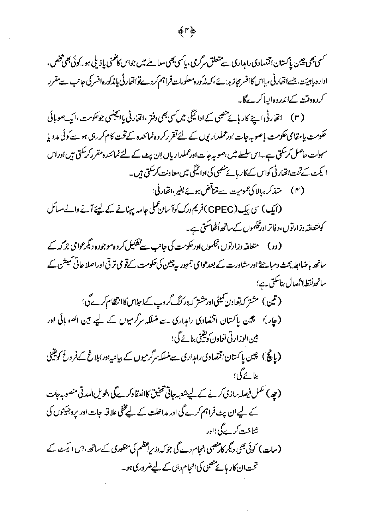مىسى بىمى چىن باكستان اقتصادى رامدارى سے متعلق سرگرى ، با<sup>ىم</sup>ى بىمى معا<u>ملے مى</u>ں جواس كا*تىن*ى با ذىلى ہو كے د<sup>ى بھى</sup> فتض. ادارہ پاہیئت، بیسےاتھار ٹی ، پاس کاافسرمجاز بلاے ،کہ مذکورہ معلومات فراہم کردے تواتھار ٹی پاندکورہ افسر کی جانب سے مقرر کردہ دفت کےاندروہ ایپا کرےگا۔

(۳) انھارٹی اپنے کار مائے منصبی کے ادائیگی میں کسی بھی دفتر ،انھارٹی پاایجنسی جوحکومت،ایک صوبائی حکومت یا مقامی حکومت یا صوبہ جات اورعملدار یوں کے لئے تقر رکر دہ نمائندہ کے تحت کام کر رہی ہو سے کوئی مدد پا سہولت حاصل کر سکتی ہے ۔اس سلسلے میں بصوبہ جات اورعملداریاں اِن بیٹ کے لئے نمائند ہمتسر رکر سکتی ہیں اوراس ا یکٹ کے تخت اتھارٹی کواس کے کار ہائے منصبی کی ادائیگی میں معاونت کر کتی ہیں ۔

(ایک) سی پیک(CPEC)فریم درک کوآ سان عملی جامہ پہنانے کے لیئے آنے والےمسائل کومنتعلقہ وزارتوں،دفاتر اورمحکموں کےساتھ اُٹھاسکتی ہے۔

( دو ) متعلقہ دزارتوں بچکموں ادرحکومت کی جانب سے تشکیل کر د ہموجود ہ دیگرعوامی جرگہ کے ساتھ باضابطہ بحث دمبانے اور مشاورت کے بعدعوامی جمہور ریپین کی حکومت کے قومی ترقی اوراصلاحاتی نمیشن کے ساتھەنقطەاتھەل بناسكتى يە<sup>ي</sup>:

(تین) مشتر کدتعاون کمیٹی اور مشتر کہ در کنگ گروپ کےاجلاس کا انتظام کرے گی؛ (جار) پین پاکستان اقتصادی راہداری سے منسلکہ سرگرمیوں کے لیے بین الصوبائی اور بین الوزارتی تعاون کویقینی بنائے گی؛ (یانچ) چین پاکستان اقتصادی را ہداری سے منسلکہ مرگرمیوں کے پیانیہ اورابلاغ کےفروغ کویقینی بنائے گی؛ (چە) ئىكمل فیصلہ بىلازىكرنے كے لیے شعبہ جاتی تحقیق كاانعقادكرے گی بطویل المدتی منصوبہ جات کے لیے ان بیٹ فراہم کرے گی اور مداخلت کے لیے پخفی علاقہ جات اور پروجیکٹوں کی شناخت کرے گی؛اور (ساتہ) کوئی بھی دیگر کارمنصی انجام دے گی جو کہ وزیر اعظم کی منظوری کے ساتھ ،اس ایکٹ کے تحت ان کار پائے منصبی کی انحام دہی کے لیےضروری ہو۔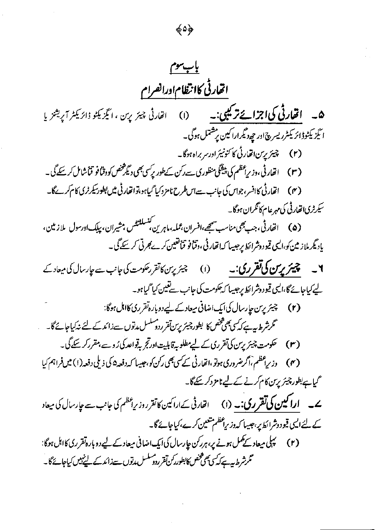بأب سوم انقارثي كاانتظاماورانصرام ه په اقلارنی کی اجزائے ترکیبی:۔ انقارٹی چیئر برین ، ایگزیکٹو ڈائریکٹر آپریشنز پا  $\omega$ ا ئىزىك<sub>ى</sub>نوۋائرىكى<sup>ن</sup>ردىس<sub>ىرى</sub>چ <sub>ا</sub>ور ج<sub>ە</sub>دىگراراكىن يرشتمل ہوگ<sup>ى</sup> \_ (۲) چیئریرس اتھارٹی کا کنونیئر ادرسر براہ ہوگا۔ (۳) اتھارٹی،وزیراعظم کی پیشکی منظوری سے رکن کے طور پرکسی بھی دیگر څخص کووقیافو قماشامل کر سکے گی۔ (۴) انھارٹی کاافسر، جواس کی جانب سےاس طرح نامزدکیا گیاہو،توانھارٹی میں بطور سکرٹری کام کرےگا۔ سکرٹری اتفارٹی کی مہرعام کانگران ہوگا۔ (۵) انھارٹی، جب بھی مناسب سمجھے،افسران،عملہ،ماہرین،کنسلنٹس مہشیران، بیلک اورسول ملازمین، یاد یگر ملاز مین کو،الیپی قیو دوشرائط پرجیسا که اتھارٹی ، دقیافو قیاتقین کرے بھرتی کر سکے گی۔ ۷۔ چیزیرس کی تقرری:۔ (۱) چیزپرسکاتقررحکومت کی جانب سے جارسال کی میعادے لیے کیاجائے گا،ایسی قیو دوشرائط پرجیسا کہ حکومت کی جانب سے قعین کیا گیا ہو۔ (۲) - چیئر پرین چارسال کی ایک اضافی میعادے لیے دوبارہ تقرری کااہل ہوگا: گر شرط ہے ہے کہ پھی شخص کا بطور چیئر پر س تقرر دوسلسل مدتوں سے زائد کے لئے نہ کیاجائے گا۔ (۴) دزیراعظم،اگرضروری ہوتو ،اتھارٹی کے سی بھی رکن کو،جیسا کہ دفعہ۵ کی ذیلی دفعہ(۱) میں فراہم کیا گیاہے بطور چیئر برین کام کرنے کے لیے نامزدکر کے گا۔ **ے۔ اراکین کی تقرری:۔ (۱)** اتحار ٹی کےاراکین کا تقرروز راعظم کی جانب سے جارسال کی میعاد کے لئے الیمی قیودوشرائط پر بہیپا کہ دز پراعظم متعین کرے،کیاجائے گا۔ (۲) گہلی میعاد کے کمل ہونے پر، ہر کن چارسال کی ایک اضافی میعاد کے لیے دوبارہ تقرری کااہل ہوگا: محمرشرط بیہ ہےکہ کی پھی فتی کابطور کرن تقرر دوسلسل مدتوں ہےزائد کے لیے پہل کیاجائے گا۔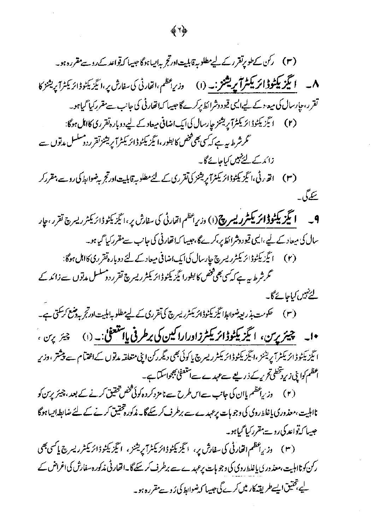۸۔ ا**گریکٹوڈائریکٹرا پریشنز :۔** (۱) دری<sup>اظم،</sup>اخارٹی کی سفارش پر،ائیزیکٹوڈائریکٹرا پریشنز کا تقرر، میارسال کی میعہ دیے لیےالیپی قیود وشرائط پرکرےگا جیسا کہاتھارٹی کی جانب سے مقرر کیا گیاہو۔ (۲) گیز کیٹوڈائر کیٹرآپریشنز جارسال کیا آیک اضافی میعاد کے لیےدوبار ہقتر ری کااہل ہوگا: گرشرط بیہ ہے کہ کی بھی فخص کا بطور ،ا ٹیزیکٹو ڈائریکٹرا پریشنز تقرر دوسلسل مدتوں سے زائد کے لئے نہیں کیاجائے گا۔ (۳) اقدار ٹی،انگیز یکٹوڈائر یکٹرآپریشنز کی تقرری کے لئےمطلوبہ قابلیت اورتجر بہ ضوابط کی روسے مقررکر سکے گی.. **انگیز یکٹوڈائریکٹرریسر پی**(۱) دزیراعظم ات<sub>ھار</sub>ٹی کی سفارش پر،انگزیکٹوڈائریکٹرریسرچ تقرر ،چار  $\blacksquare$ سال کی میعاد کے لیے ،ایسی قیو دوشرائط پر بکر ےگا ،جیسا کہاتھارٹی کی جانب سے مقرر کیا گیا ہو۔ (٢) أيَّز يَكْنُوڈائرَ يَكْثرر يسرچ حارسال كى ايك اضافى ميعادے لئے دوبار ەتقررى كالل ہوگا: ٹکر شرط بیہ ہے کہ کی بھی فخص کا بطورا ٹیزیکٹو ڈائر یکٹرر یسرچ تقرر دوسلسل مدتوں سے زائد کے لينہيں کیاجائے گا۔ •ا۔ چیئریرس، انگیزیکٹوڈائریکٹرزاوراراکین)برطرفی پاانٹعفل:۔ () چیزین، ائیکز بکثو ڈائریکٹرآ پریشنز ،ایگزیکٹوڈائریکٹرریسرچ پاکوئی بھی دیگررکن ایل متعلقہ مدتوں کےاختیام سے پیشتر ،وزیر

اعظم کوایی زیر پخطی تحریر کے ذریعے سے عہدے سے انتعفیٰ بھجواسکتا ہے۔

(۲) دز راعظم پاان کی جانب سےاس طرح سے نامزدکر دہ کوئی شخص تحقیق کرنے کے بعد ، چیئر پرس کو نااہلیت،معذوری پاغلط روی کی وجو ہات پرعہدے سے برطرف کرسکےگا۔مذکورہتحقیق کرنے کے لئے ضابطہ ایساہوگا جبیبا ک<sup>ا</sup>نواعد کی رو <sub>سے پ</sub>مقرر کیا گیاہو۔

(۳) وزی<sub>را</sub>عظم اتفار فی کی سفارش پر، انگیز یکشو ڈائریکشرز، انگیز یکثو ڈائریکشرر یسرچ پاکسی بھی رکن کونااہلیت،معذ دری پاغلط روی کی دجو بات برعہدے سے برطرف کرسکے گا۔اتھارٹی مذکورہ سفارش کی اغراض کے لیے تحقیق ایسے طریقہ کار میں کرے گی جیسا کہ ضوابط کی رُوسے مقررہ ہو۔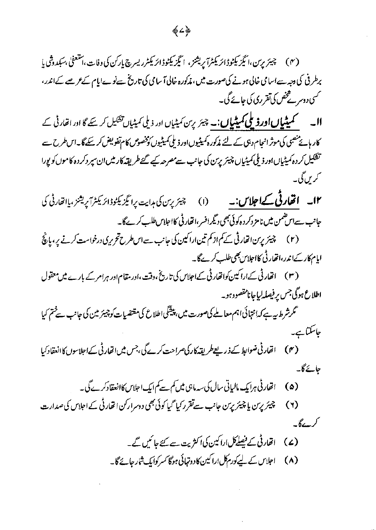(۴) چیئریرس،ایگزیکٹوڈائریکٹرآپریشنز، ایگزیکٹوڈائریکٹرریسرچ پارکن کی وفات،استعفیٰ،سبکدوشی پا برطر فی کی دجہ سےاسا می خالی ہونے کی صورت میں، مذکورہ خالی آ سامی کی تاریخ سےنوےایام کےعرصے کےاندر، کسی دوسر تحضحض کی تقرری کی جائے گی۔

**اا۔ سے کمیٹیاں اور ڈیلی کمیٹیاں:۔** چیئر پرس کمیٹیاں اور ذیلی کمیٹیاں تشکیل کر سکے گا اور اتفارٹی کے کار ہائے منصبی کی موثر انحام دبی کے لئے مذکور ہ کمیٹیوں اور ذیلی کمیٹیوں کومخصوص کام تفویض کر سکے گا۔اس طرح سے تشکیل کر دہ کمیٹیاں اور ذیلی کمیٹیاں چیئریرین کی جانب سے *معرجہ کیے گئے طر*یقہ کارمیں ان سپر دکر دہ کا موں کو یورا کریں گی۔

چیئریرین کی ہدایت پرائگز یکٹوڈائر یکٹرآپریشنز ،پااتھارٹی کی ۱۲۔ انقارئی کےاجلاس:۔  $\bigcirc$ جانب سےاس ضمن میں نامز دکر دہ کوئی بھی دیگرافسر ،اتھارٹی کااجلاس طلب کرے گا۔

(۲) چیئریرسن اتھارٹی کے کم از کم تین اراکین کی جانب سے اس طرح تحریری درخواست کرنے پر، پانچ ایام کار کےاندر،اتھارٹی کااجلاس بھی طلب کرےگا۔

(۳) اتھارٹی کےاراکین کواتھارٹی کےاجلاس کی تاریخ ،وقت ،اور مقام اور ہرامر کے بارے میں معقول اطلاع ہوگی جس پر فیصلہ لیاجا نامقصود ہو۔

گرشرط بیہ ہے کہ انتہائی اہم معاملے کی صورت میں پیشگی اطلاع کی مقتضیات کوچیئر مین کی جانب سے ختم کیا حاسكتا ہے۔

انقار ٹی ضوابط کے ذریعے طریقہ کارکی صراحت کرے گی ،جس میں اتفار ٹی کے اجلاسوں کا انعقاد کیا  $(r)$ جائے گا۔

اتھارٹی ہرایک مالیاتی سال کی سیہ ماہی میں کم سے کم ایک احلاس کاانعقاد کرے گی۔  $(\omega)$ 

چیئر پرین یا چیئر پرین جانب سےتقرر کیا گیا کوئی بھی دوسرارکن اتھارٹی کے اجلاس کی صدارت  $(Y)$ كرےگا۔

- (مے) اتھارٹی کے فیصلےکلار کیلئن کی اکثریت سے کئے جائمیں گے۔
- (۸) اجلاس کے لیےکورم کل اراکین کا دوتہائی ہوگا *کسر ک*وایک شار جائے گا۔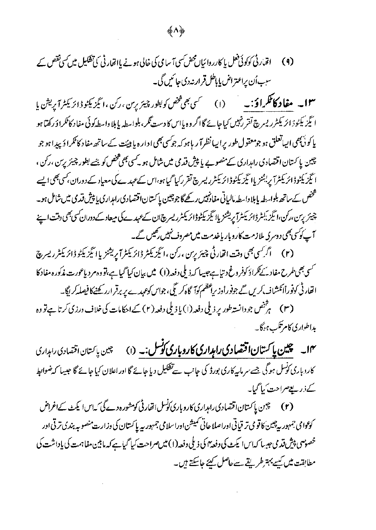**١٣ \_ مفاد كانگلرا ؤ: \_\_\_\_\_\_\_\_\_\_\_\_\_\_\_\_\_\_\_\_**\_ بھى *څخص كو*بطور چيئريرس ، ركن ،ا ئيزيكثو ڈائريكثر آپريشن يا ا ئیگز یکٹوڈ ائریکٹرر پسرچ تقر رنہیں کیا جائے گااگر وہ پا اس کا دست نگر، بلواسطہ پابلا واسطہکوئی مفاد کائکراؤركفتا ہو یا کونیَ مجمی ایباتعلق ہو جومعقول طور پرایبا نظرا ً ریا ہو کہ جوکسی بھی ادار ہ یا ہیئت کے ساتھ مفا د کا نکرا وَ پیدا ہو جو چین پا کستان اقتصادی راہداری کے منصوبے یا پیش قدمی میں شامل ہو کسی بھی گھنس کو بیسے بطور چیئر پرین ،رکن ، ا ٹیزیکٹوڈائریکٹرآ پربشنز یاا ٹیزیکٹوڈائریکٹرریسرچ تقررکیا گیاہو،اس کےعہدے کی معیاد کے دوران،کسی بھی ایسے هخص کے ساتھ بلواسطہ پابلا داسطہ مالیاتی مفادتہیں رکھے گا جوچین پاکستان اقتصادی راہداری پاچیش قدمی میں شامل ہو۔ چیئریرس،رکن،ا ٹیز ٔ بلٹرڈائر پیٹرآ پریشنزیاا ٹیز کیٹوڈائر یکٹرریسرچؒان کے عہدے کی میعادےدوران سی بھی دقت اپنے آپ کوکسی بھی دوسر کی ملازمت کاروبار باخدمت میں مصروف نہیں رکھیں گے۔

(۲) گرگسی بھی وقت اتھارٹی چیئریرین ،رکن ،انگیز یکٹر ڈائریکٹر آپریشنز یاانگیز یکٹو ڈائریکٹر ریسرچ سمسی جن طرح مفاد <u>ئے ک</u>کراؤ کوفر وغ د تیاہےجیسا کہ ذیلی دفعہ (۱) میں بیان کیا گیا ہے،تو وہ مرد یاعورت مذکورہ مفاد کا اقعار ٹی کوفوراًانکشاف کریں گے جوفوراًوز ریاعظم کوآگاہ کر گچی، جواس کوعہدے پر برقرارر کھنے کا فیصلہ کریگا۔

(۳) گچش جو دانستہ طور پر ذیلی دفعہ (۱) یا ذیلی دفعہ (۲) کے احکامات کی خلاف ورزی کرتا ہے تو وہ بداطواری کامرتکب ہوگا۔

۱۴۔ چین پا کست**ان اقتصادی راہداری کاروباری کوسل:۔** (۱) سچین پاکستان اقتصادی راہداری کارد باری کونسل ہو گی جسے سر ماہہ کاری بورڈ کی جانب سے تشکیل دیا جائے گا اور اعلان کیا جائے گا جیسا کہ ضوابط کے ذریعےصراحت کیا گیا۔

(۲) چین پاکستان اقتصادی را بداری کاروباری کونسل اتفار فی کومشوره دے گی کہ اس ایکٹ کے اغراض کو<sub>ک</sub>وامی جمہور ریپھین کاقومی تر قیاتی اوراصلاحاتی نمیشن اوراسلامی جمہور ریہ پاکستان کی وزارت منصوبہ بندی تر قی اور خصوصی پیش قد می جیسا که اس ایکٹ کی دفعہ ہی ذیلی دفعہ (۱) میں صراحت کیا گیا ہے کہ ما بین مفاہمت کی یا داشت کی مطابقت میں کیسے بہتر طریقے سےحاصل کیئے جاسکتے ہیں۔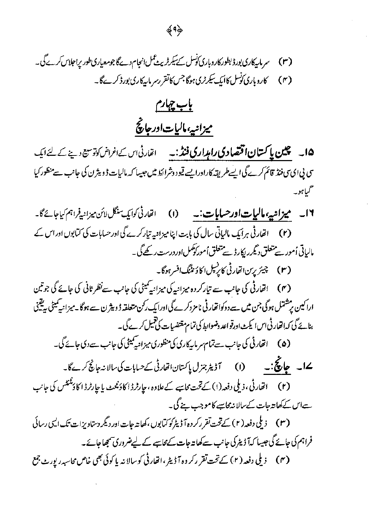(۳) سمر مارکاری بورڈ بطورکاروباری نوسل کے سکرٹر بیٹ کل انجام دےگا جومعیاری طور پراجلاس کرے گی۔ (۴) کاروباری ٹوسل کاایک سکرٹری ہوگا جس کاتقررسر ماریکاری بورڈ کرےگا۔

## بأب جهارم

### ميزانيه ماليات اورجانج

ھا۔ چین پاک**سان اقتصادی راہداری فنڈ** :۔ اصّارٹی اس کے اغراض کوتوسیع دینے کے لئے ایک سی پی ای سی فنڈ قائم کرے گی ایسے طریقہ کاراوراپیے قیو دوشرائط میں جیسا کہ مالیات ڈ ویثرن کی جانب سے منظور کیا حمياهو۔

١٢۔ میزانیہ، م**الیات اور حسابات:۔** (١) اقدار ٹی کوایک تنگل لائن میزانیفراہم کیاجائے گا۔ (۲) ۔ اتھار ٹی ہرایک مالیاتی سال کی بابت اپنا میزانیہ تیارکرے گی اور حسابات کی کتابوں اور اس کے مالیاتی اُمور ہے متعلق دیگر ریکارڈ سے متعلق اُمورکوکمل اور درست رکھے گی ۔ (۳) چیئر پرسن اتھارٹی کا پرنسل اکاؤنٹنگ افسر ہوگا۔ (۴) ۔ انھارٹی کی جانب سے تبارکر دہ میزانیہ کی میزانیہ کمیٹی کی جانب سےنظر ثانی کی جائے گی جوتین

ارا کین پرشتمل ہوگی جن میں ہےدوکواتھارٹی نامز دکرے گی اورایک رکن متعلقہ ڈ ویثر ن سے ہوگا۔میزانیہ کیٹی بیقینی بنائے گی کہاتھارٹی اسا کیٹ اورقواعد دضوابط کی تمام مقتضیات کی تعمیل کرے گی۔

(۵) انھارٹی کی جانب سےتمام سرمایہ کاری کی منظوری میزانیہ کمیٹی کی جانب سے دی جائے گی۔

**۱۷۔ جانچ:۔ (۱)** آڈیٹر جزل پاکستانانقارٹی کےحسابات کی سالانہ جانچ کرےگا۔ (۲) اتھارٹی ، ذیلی دفعہ (۱) کےتخت محاسبے کےعلاوہ ، حارثرڈ اکاؤنٹیٹ پاچارٹرڈ اکاؤنٹنٹس کی جانب سےاس کے کھاتہ جات کے سالانہ محاسبے کا موجب بنے گی۔

فراہم کی جائے گی جیسا کہآ ڈیٹرکی جانب سے کھا تہ جات کے محاسبے کے لیےضروری سمجھا جائے۔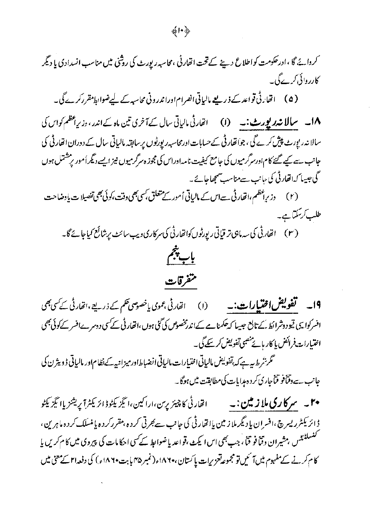کردا ئے گا ،ادرحکومت کواطلاع دینے کے تحت اتفار ٹی ،محاسبہ ریورٹ کی روشی میں مناسب انسدادی یا دیگر کارروائی کرے گی۔

(۵) اتھارٹی قواعد کے ذریعے مالیاتی انصرام اوراندرونی محاسبہ کے لیےضوا<sub>ل</sub>ط<sup>مق</sup>ررکرےگی۔

م ا۔ س**الا شدر یورٹ:۔** (۱) اتھارٹی مالیاتی سال کے آخری تین ماہ کے اندر، <sub>ن</sub>زیراعظم کواس کی سالانہ ر بورٹ پیش کرے گی ، جوانھار ٹی کے حسابات اورمحاسبہ رپورٹوں پر سابقہ مالیاتی سال کے دوران اتھارٹی کی جانب ہے کیے گئے کام اورسرگرمیوں کی جامع کیفیت نامہ اوراس کی مجوز ہ سرگرمیوں نیز ایسے دیگر اُمور پر مشتمل ہوں گی جیپیا کہ اتھارٹی کی دہانب سے مناسب سمجھاجائے۔

(۲) دزیراعظم،اتھارٹی ہےاس کے مالیاتی اُمور کے متعلق کمی بھی دفتہ ،کوئی بھی تفصیلات یادضاحت طلب کر سکتاہے۔

( ۳ ) القار ٹی کی سہ ماہی تر قیاتی ریورٹوں کواتھارٹی کی سرکاری ویب سائٹ پرشائع کیاجائے گا۔

باب پنجم متفرقات

(۱) اتھارٹی ہموی پاخصوصی حکم کے ذریعے،اتھارٹی کے کسی بھی ۱۹ - تفويض<sup>8</sup>نيارات: -افسرکوا پی قیو دوشرائط کے تابع جیسا کہ حکمنا ہے کےاندرمخصوص کی گئی ہوں ،اتھار ٹی کے کسی د دسرےافسر کے کوئی بھی اختیارات فرائض پا کار ہائے پنھبی تفویض کر سکے گی ۔

گر نئر ط بیہ ہے کہ تفویض مالیاتی اختیارات مالیاتی انضباط اور میزانیہ کے نظام اور مالیاتی ڈویژن کی جانب ہے وقتاً فو قتاً جاری کرد ہیدایات کی مطابقت میں ہوگا۔

•۲ \_ سمر ک**ار کی ما! زیلن :۔** اتھار ٹی کا چیئریرس،اراکین،ا یگزیکٹوڈائزیکٹر آپریشنزیاا یگزیکٹو ڈائریکٹرر پسرچ ،افسران پادیگر ملاز مین پااتھارٹی کی جانب *سے بھر*تی کردہ ،مقررکردہ پامنسلک کردہ ماہرین ، گنسلٹنٹس بہشیران دقناً فو قناً ، جب بھی اس ایکٹ ،قواعد یاضوابط کے کسی احکامات کی پیروی میں کام کریں یا کام کرنے کے مفہوم میں آئیں تو مجموعہ تعزیرات پاکستان، ۱۸۶۰؍ (نمبر ۱۸۵ بابت ۱۸۶۰؍) کی دفعہ ا۲ کے معنی میں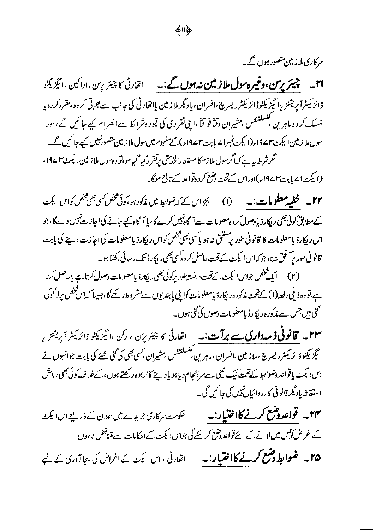سرکاری ملاز مین متصور ہوں گے۔

**ا۲۔ چیئریرس،وغیرہسول ملازمین نہ ہوں گئے:۔** انھارٹی کا چیئریرین،اراکین،ایگزیکٹو <u>ڈائریکٹرآ پریشنز پاا ٹیزیکٹوڈائریکٹرریسر پ</u>چ،افسران، یادیگرملاز مین یااتھارٹی کی جانب سے *بھر*ٹی کردہ ،مقررکردہ یا منسلک کرد ہ ماہرین کنسلٹنٹس ،مشیران وقتاً فو قتاً ،اینی تقرری کی قیود وشرائط ہے انصرام کیے جا کیں گے ،اور سول ملاز مین) یکٹ ۱۹۷۲ء(۱ یکٹ نمبرا∠ پابت۳سے194ء) کےمفہوم میںسول ملاز مین متصور نہیں کیے جائمیں گے۔ گمرشرط بی<sub>س</sub>بے کہ اگرسول ملازم کا مستعارالخدمتی برتقر رکیا گیا ہو،تو وہ سول ملازمین ایکٹ ۱۹۷۳ء (ایکٹ ایمابت ۱۹۷۳ء)اوراس کے تحت دہنم کر دہ تواعد کے تابع ہوگا۔

۲۲۔ خفیہ معلوم**ات:۔** (۱) بج اس کے کہ ضوابط میں مذکور ہو،کوئی *خض کسی بھی خض ک*واس ایکٹ کےمطابق کوئی بھی ریکارڈ باوصول کر د ہ معلومات سےآ گاہنیں کرے گا، یا آگاہ کیے جانے کی اجاز ت نہیں دےگا، جو اس ریکار ڈیامعلومات کا قانونی طور پر یشخق نہ ہو پاکسی بھی فخص کواس ریکارڈ پامعلومات کی اجازت دینے کی بابت قانونی طور پریشخ تنه بیوجوکه اسالیکٹ کےتحت حاصل کردہ کسی بھی ریکارڈ تک رسائی رکھتا ہو۔

ہے،نووہ ذیلی دفعہ(۱) کےتحت مذکورہ ریکارڈ یامعلومات کواپنی پابندیوں سے مشروط رکھےگا،جیسا کہاس شخص پرلا گوکی گئی ہیںجس سے مذکورہ ریکارڈ پامعلو مات وصول کی گئی ہوں۔

۲۳۔ ق**انونی ذمہ داری سے برآت:۔** انھارٹی کا چیئریرس ، رکن ،ایگزیکٹو ڈائریکٹر آپریشنز یا ا ئیگز یکٹو ڈائر یکٹرر پسر پیج ،ملاز مین ،افسران ، ماہرین ،تسلٹنٹس ،مشیران ،سی بھی کی گئی شیئے کی بابت جوانہوں نے اسا يكٹ پاقواعد دضوابط كےتحت نيك نيتى ہےسرانىجام ديا ہويا دينے كااراد ہ رکھتے ہوں ، كےخلاف كوئى بھى ، ناكش استغاثه بإدیگر قانونی کارروا ئیاں تہیں کی جائمیں گی۔

م**ہو۔ قواعدوضع کرنے کااختیار:۔** صحو*مت مر*کاری جریدے میں اعلان کے ذریعے اس ایکٹ کےاغراض کوکمل میں لانے کے لئے تو اعد دمنع کر سکے گی جواس ایکٹ کےاحکامات سے متناقض نہ ہوں۔ **۳۵۔ ضوابط وشع کرنے کااختیار:۔** اتحار ٹی ،اس ایکٹ کے اغراض کی بجا آوری کے لیے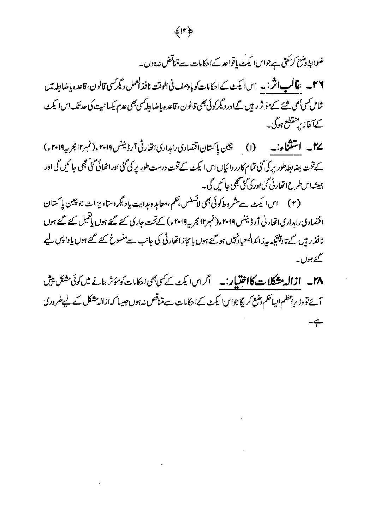

ضوابط دمنع كرسكتي ہے جواس ايكٹ پاقواعد كے احکامات سے متناقض نہ ہوں۔

۲۶ ۔ غ**الب اثر :۔** اس ایکٹ کے احکامات کو بادھف فی الوقت نافذ العمل دیگر کسی قانون، قاعدہ باضابطہ میں شامل سی بھی شیئے کے مؤثر رہیں گےاور دیگر کوئی بھی قانون ،قاعدہ پاضابط کسی بھی عدم یکسانیت کی حد تک اس ایکٹ کےآغاز برمنقطع ہوگی۔

(۱) چین پاکستان اقتصادی را بداری اتھارٹی آرڈیننس ۲۰۱۹ء ( نمبر۱۲ مجر بہ ۲۰۱۹ء ) يرمله اشتثاءنه کےتحت بہند بطہطور پر کی گئی تمام کارروائیاں اس ایکٹ کےتحت درست طور پر کی گئی اور اٹھائی گئی بھی جائنیں گی اور ہمیشہ اس طرح اتھارٹی گئی اور کی گئی تھی جائمیں گی ۔

(۲) اسا یکٹ ہےمشر د ط کوئی بھی لائسنس بھم،معامدہ ہدایت یا دیگر دستاویز ات جوچین پا کستان اقتصادی، امداری اتھار پی آرڈیننس ۲۰۱۹ء( نمبر۱۲ مجربہ ۲۰۱۹ء) کے تحت جاری کئے گئے ہوں پانقمیل کئے گئے ہوں نافذ رہن گے تاوقتیکہ یہ زائدالمعیادنہیں ہو گئے ہوں پامچاز انقار ٹی کی جانب سےمنسوخ کئے گئے ہوں پاواپس لیے گئے ہوں۔

۲۸۔ **ازالہ مشکلات کااختیار:۔** اگراس ایک کے سی بھی احکامات کومؤثر بنانے میں کوئی مشکل پیش آئے تووز پر عظم ایساحکم دضع کریگا جواس ایکٹ کےا دکامات سے متناقص نہ ہوں جیسا کہ از الہ مشکل کے لیےضروری ہے۔